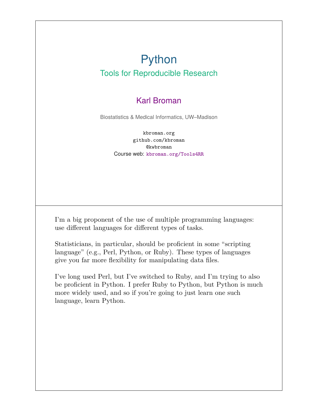### Python Tools for Reproducible Research

#### Karl Broman

Biostatistics & Medical Informatics, UW–Madison

kbroman.org github.com/kbroman @kwbroman Course web: kbroman.org/Tools4RR

I'm a big proponent of the use of multiple programming languages: use different languages for different types of tasks.

Statisticians, in particular, should be proficient in some "scripting language" (e.g., Perl, Python, or Ruby). These types of languages give you far more flexibility for manipulating data files.

I've long used Perl, but I've switched to Ruby, and I'm trying to also be proficient in Python. I prefer Ruby to Python, but Python is much more widely used, and so if you're going to just learn one such language, learn Python.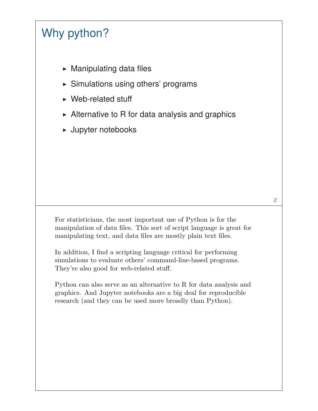# Why python?

- $\triangleright$  Manipulating data files
- ▶ Simulations using others' programs
- ▶ Web-related stuff
- $\triangleright$  Alternative to R for data analysis and graphics
- ▶ Jupyter notebooks

For statisticians, the most important use of Python is for the manipulation of data files. This sort of script language is great for manipulating text, and data files are mostly plain text files.

In addition, I find a scripting language critical for performing simulations to evaluate others' command-line-based programs. They're also good for web-related stuff.

Python can also serve as an alternative to R for data analysis and graphics. And Jupyter notebooks are a big deal for reproducible research (and they can be used more broadly than Python).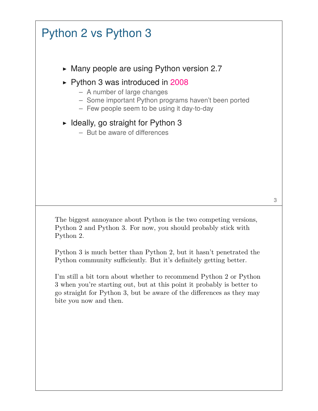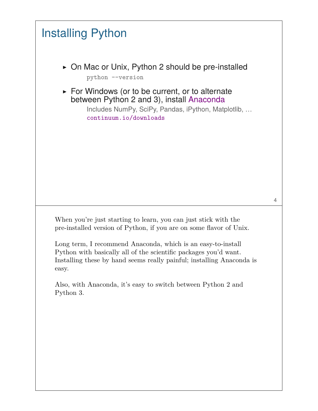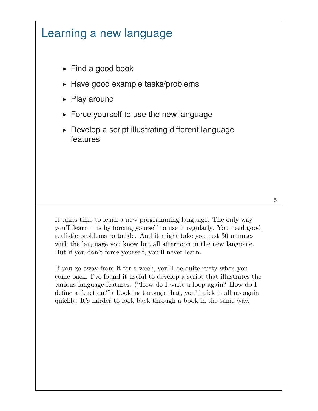# Learning a new language

- $\blacktriangleright$  Find a good book
- $\blacktriangleright$  Have good example tasks/problems
- ▶ Play around
- $\triangleright$  Force yourself to use the new language
- $\triangleright$  Develop a script illustrating different language features

It takes time to learn a new programming language. The only way you'll learn it is by forcing yourself to use it regularly. You need good, realistic problems to tackle. And it might take you just 30 minutes with the language you know but all afternoon in the new language. But if you don't force yourself, you'll never learn.

If you go away from it for a week, you'll be quite rusty when you come back. I've found it useful to develop a script that illustrates the various language features. ("How do I write a loop again? How do I define a function?") Looking through that, you'll pick it all up again quickly. It's harder to look back through a book in the same way.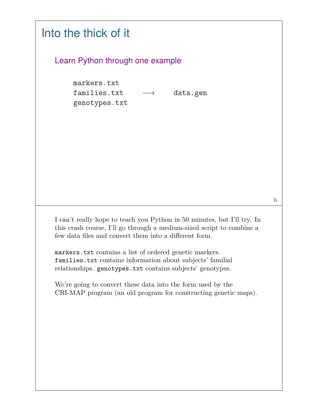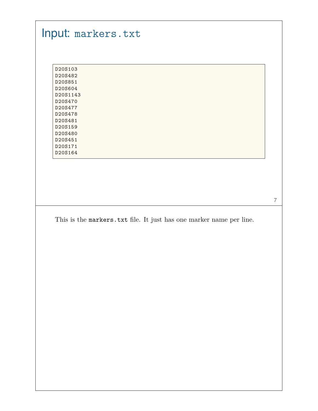# Input: markers.txt

| D20S103  |
|----------|
| D20S482  |
| D20S851  |
| D20S604  |
| D20S1143 |
| D20S470  |
| D20S477  |
| D20S478  |
| D20S481  |
| D20S159  |
| D20S480  |
| D20S451  |
| D20S171  |
| D20S164  |

This is the markers.txt file. It just has one marker name per line.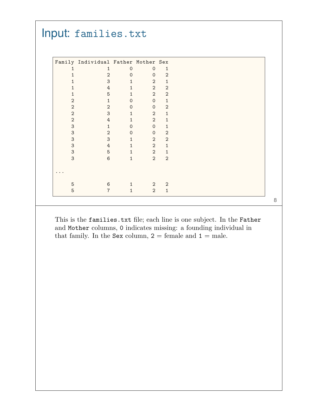|                           | Family Individual Father Mother Sex |                                     |                   |                                |  |
|---------------------------|-------------------------------------|-------------------------------------|-------------------|--------------------------------|--|
| 1                         | 1<br>$\overline{2}$                 | $\Omega$                            | $\Omega$          | $\mathbf{1}$<br>$\overline{2}$ |  |
| 1                         | $\ensuremath{\mathsf{3}}$           | $\mathsf{O}\xspace$<br>$\mathbf{1}$ | $\mathbf{O}$<br>2 | $\mathbf{1}$                   |  |
| 1<br>1                    | 4                                   | $\mathbf{1}$                        | $\overline{2}$    | $\overline{2}$                 |  |
| 1                         | $\overline{5}$                      | $\mathbf{1}$                        | $\overline{2}$    | $\overline{2}$                 |  |
| $\overline{2}$            | $\mathbf{1}$                        | $\mathbf 0$                         | $\mathbf 0$       | $\mathbf{1}$                   |  |
| $\overline{2}$            | $\overline{2}$                      | $\Omega$                            | $\mathbf{0}$      | $\overline{2}$                 |  |
| $\overline{2}$            | 3                                   | $\mathbf{1}$                        | $\overline{2}$    | $\mathbf{1}$                   |  |
| $\boldsymbol{2}$          | $\ensuremath{4}$                    | $\mathbf{1}$                        | $\overline{2}$    | $\mathbf{1}$                   |  |
| $\mathbf{3}$              | $\mathbf{1}$                        | $\mathbf{O}$                        | $\Omega$          | 1                              |  |
| 3                         | $\overline{2}$                      | $\mathbf{O}$                        | $\Omega$          | $\overline{2}$                 |  |
| $\mathsf 3$               | $\sqrt{3}$                          | $\mathbf{1}$                        | $\overline{2}$    | $\overline{2}$                 |  |
| $\ensuremath{\mathsf{3}}$ | $\ensuremath{4}$                    | $\mathbf{1}$                        | $\overline{2}$    | $\mathbf{1}$                   |  |
| $\mathbf{3}$              | $\overline{5}$                      | $\mathbf{1}$                        | $\overline{2}$    | 1                              |  |
| 3                         | $6\phantom{1}6$                     | $\mathbf{1}$                        | $\overline{2}$    | $\overline{2}$                 |  |
|                           |                                     |                                     |                   |                                |  |
| $\bullet$                 |                                     |                                     |                   |                                |  |
|                           |                                     |                                     |                   |                                |  |
| $\overline{5}$            | $\,6\,$                             | $\mathbf{1}$                        | 2                 | $\overline{2}$                 |  |
| 5                         | $\overline{7}$                      | $\mathbf{1}$                        | 2                 | $\mathbf{1}$                   |  |

This is the families.txt file; each line is one subject. In the Father and Mother columns, 0 indicates missing: a founding individual in that family. In the Sex column,  $2 =$  female and  $1 =$  male.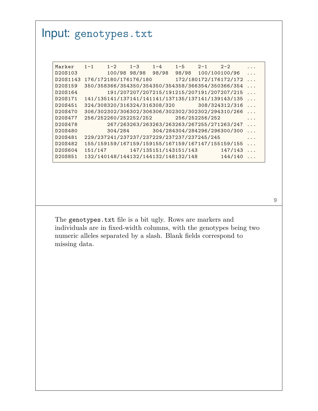## Input: genotypes.txt

| Marker   | $1 - 1$ | $1 - 2$ $1 - 3$       |              | $1 - 4$                                    | $1-5$ | $2 - 1$ $2 - 2$ |                                                   | .        |
|----------|---------|-----------------------|--------------|--------------------------------------------|-------|-----------------|---------------------------------------------------|----------|
| D20S103  |         |                       | 100/98 98/98 | 98/98                                      | 98/98 | 100/100100/96   |                                                   | .        |
| D20S1143 |         | 176/172180/176176/180 |              |                                            |       |                 | 172/180172/176172/172                             | $\cdots$ |
| D20S159  |         |                       |              |                                            |       |                 | 350/358366/354350/354350/354358/366354/350366/354 | $\cdots$ |
| D20S164  |         |                       |              |                                            |       |                 | 191/207207/207215/191215/207191/207207/215        | $\cdots$ |
| D20S171  |         |                       |              |                                            |       |                 | 141/135141/137141/141141/137135/137141/139143/135 | $\cdots$ |
| D20S451  |         |                       |              |                                            |       |                 | 324/308320/316324/316308/320 308/324312/316       | $\cdots$ |
| D20S470  |         |                       |              |                                            |       |                 | 306/302302/306302/306306/302302/302302/294310/266 | .        |
| D20S477  |         |                       |              | 256/252260/252252/252 256/252256/252       |       |                 |                                                   | .        |
| D20S478  |         |                       |              |                                            |       |                 | 267/263263/263263/263263/267255/271263/247        | $\cdots$ |
| D20S480  |         |                       |              |                                            |       |                 | 304/284 304/284304/284296/296300/300              | $\cdots$ |
| D20S481  |         |                       |              | 229/237241/237237/237229/237237/237245/245 |       |                 |                                                   | .        |
| D20S482  |         |                       |              |                                            |       |                 | 155/159159/167159/159155/167159/167147/155159/155 | $\cdots$ |
| D20S604  |         |                       |              |                                            |       |                 | 147/143                                           | $\ldots$ |
| D20S851  |         |                       |              | 132/140148/144132/144132/148132/148        |       |                 | 144/140                                           | .        |
|          |         |                       |              |                                            |       |                 |                                                   |          |

The genotypes.txt file is a bit ugly. Rows are markers and individuals are in fixed-width columns, with the genotypes being two numeric alleles separated by a slash. Blank fields correspond to missing data.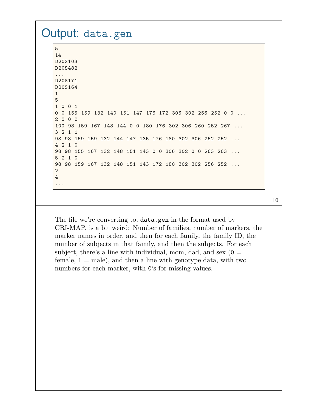#### Output: data.gen 5 14 D20S103 D20S482 ... D20S171 D20S164 1 5 1 0 0 1 0 0 155 159 132 140 151 147 176 172 306 302 256 252 0 0 ... 2 0 0 0 100 98 159 167 148 144 0 0 180 176 302 306 260 252 267 ... 3 2 1 1 98 98 159 159 132 144 147 135 176 180 302 306 252 252 ... 4 2 1 0 98 98 155 167 132 148 151 143 0 0 306 302 0 0 263 263 ... 5 2 1 0 98 98 159 167 132 148 151 143 172 180 302 302 256 252 ... 2 4 ...

10

The file we're converting to, data.gen in the format used by CRI-MAP, is a bit weird: Number of families, number of markers, the marker names in order, and then for each family, the family ID, the number of subjects in that family, and then the subjects. For each subject, there's a line with individual, mom, dad, and sex  $(0 =$ female,  $1 =$  male), and then a line with genotype data, with two numbers for each marker, with  $0$ 's for missing values.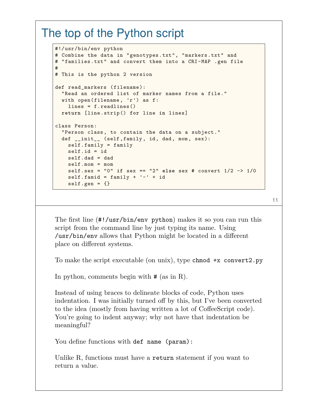### The top of the Python script

```
#!/usr/bin/env python
# Combine the data in "genotypes.txt", "markers.txt" and
# "families.txt" and convert them into a CRI-MAP .gen file
#
# This is the python 2 version
def read markers (filename):
 "Read an ordered list of marker names from a file."
 with open(filename, 'r') as f:
    lines = f.readlines()
 return [line.strip() for line in lines]
class Person:
  "Person class, to contain the data on a subject."
 def __init__ (self,family, id, dad, mom, sex):
   self.family = family
   self.id = id
   self.dad = dad
   self.mom = mom
   self.sex = "0" if sex == "2" else sex # convert 1/2 -> 1/0
   self.find = family + '-' + idself.gen = {}
```
11

The first line (#!/usr/bin/env python) makes it so you can run this script from the command line by just typing its name. Using /usr/bin/env allows that Python might be located in a different place on different systems.

To make the script executable (on unix), type chmod +x convert2.py

In python, comments begin with # (as in R).

Instead of using braces to delineate blocks of code, Python uses indentation. I was initially turned off by this, but I've been converted to the idea (mostly from having written a lot of CoffeeScript code). You're going to indent anyway; why not have that indentation be meaningful?

You define functions with def name (param):

Unlike R, functions must have a return statement if you want to return a value.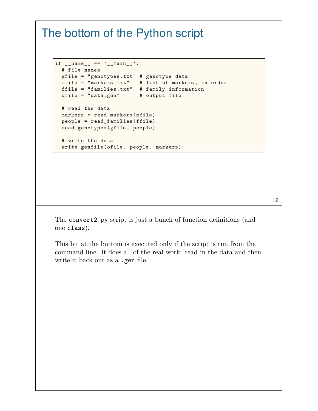### The bottom of the Python script

```
if __name__ == '__main__ ':
 # file names
 gfile = "genotypes.txt" # genotype data
 mfile = "markers.txt" # list of markers , in order
 ffile = "families.txt" # family information
 ofile = "data.gen" # output file
 # read the data
 markers = read markers(mfile)
 people = read_families(ffile)
 read_genotypes(gfile, people)
 # write the data
 write_genfile(ofile, people, markers)
```
The convert2.py script is just a bunch of function definitions (and one class).

This bit at the bottom is executed only if the script is run from the command line. It does all of the real work: read in the data and then write it back out as a .gen file.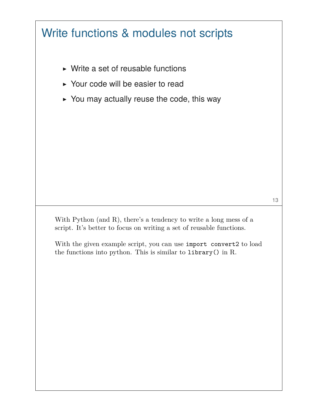# Write functions & modules not scripts

- $\triangleright$  Write a set of reusable functions
- ▶ Your code will be easier to read
- $\triangleright$  You may actually reuse the code, this way

With Python (and R), there's a tendency to write a long mess of a script. It's better to focus on writing a set of reusable functions.

With the given example script, you can use import convert2 to load the functions into python. This is similar to library() in R.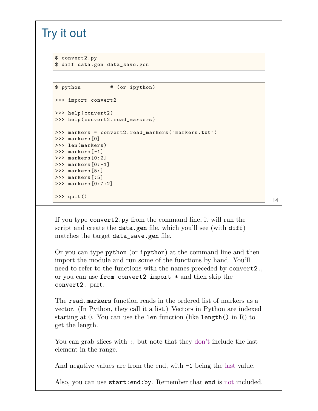### Try it out

```
$ convert2.py
$ diff data.gen data_save.gen
```

```
$ python # (or ipython)
>>> import convert2
>>> help(convert2)
>>> help(convert2.read_markers)
>>> markers = convert2.read_markers("markers.txt")
>>> markers[0]
>>> len(markers)
>>> markers[-1]
>>> markers[0:2]
>>> markers[0:-1]
>>> markers[5:]
>>> markers[:5]
>>> markers[0:7:2]
\Rightarrow >> quit() 14
```
If you type convert2.py from the command line, it will run the script and create the data.gen file, which you'll see (with diff) matches the target data\_save.gen file.

Or you can type python (or ipython) at the command line and then import the module and run some of the functions by hand. You'll need to refer to the functions with the names preceded by convert2., or you can use from convert2 import \* and then skip the convert2. part.

The read.markers function reads in the ordered list of markers as a vector. (In Python, they call it a list.) Vectors in Python are indexed starting at 0. You can use the len function (like length() in R) to get the length.

You can grab slices with :, but note that they don't include the last element in the range.

And negative values are from the end, with  $-1$  being the last value.

Also, you can use start:end:by. Remember that end is not included.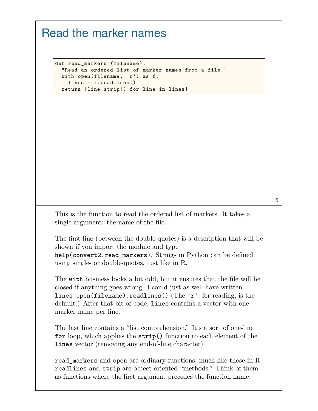### Read the marker names

def read\_markers (filename): "Read an ordered list of marker names from a file." with open(filename, 'r') as f: lines = f.readlines() **return** [line.strip() **for** line **in** lines]

15

This is the function to read the ordered list of markers. It takes a single argument: the name of the file.

The first line (between the double-quotes) is a description that will be shown if you import the module and type help(convert2.read markers). Strings in Python can be defined using single- or double-quotes, just like in R.

The with business looks a bit odd, but it ensures that the file will be closed if anything goes wrong. I could just as well have written lines=open(filename).readlines() (The 'r', for reading, is the default.) After that bit of code, lines contains a vector with one marker name per line.

The last line contains a "list comprehension." It's a sort of one-line for loop, which applies the strip() function to each element of the lines vector (removing any end-of-line character).

read markers and open are ordinary functions, much like those in R. readlines and strip are object-oriented "methods." Think of them as functions where the first argument precedes the function name.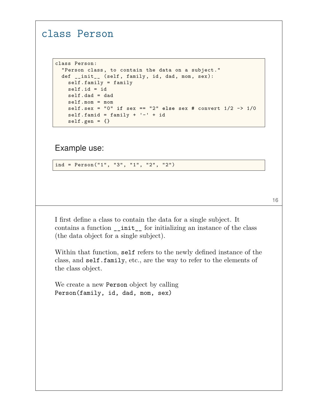#### class Person

```
class Person:
 "Person class, to contain the data on a subject."
 def __init__ (self, family, id, dad, mom, sex):
   self.family = family
   self.id = id
    self.dad = dad
   self.mom = mom
   self.sex = "0" if sex == "2" else sex # convert 1/2 -> 1/0
   self.famid = family + '- + id
   self.gen = {}
```
Example use:

ind = Person("1", "3", "1", "2", "2")

16

I first define a class to contain the data for a single subject. It contains a function \_\_init\_\_ for initializing an instance of the class (the data object for a single subject).

Within that function, self refers to the newly defined instance of the class, and self.family, etc., are the way to refer to the elements of the class object.

We create a new Person object by calling Person(family, id, dad, mom, sex)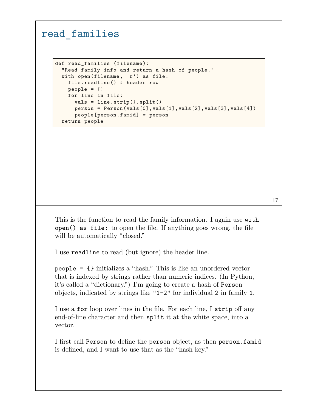#### read\_families

```
def read_families (filename):
 "Read family info and return a hash of people."
 with open(filename, 'r') as file:
   file.readline() # header row
   people = \{\}for line in file:
      vals = line.strip().split()
      person = Person(vals[0],vals[1],vals[2],vals[3],vals[4])
      people[person.famid] = person
 return people
```
This is the function to read the family information. I again use with open() as file: to open the file. If anything goes wrong, the file will be automatically "closed."

I use readline to read (but ignore) the header line.

people = {} initializes a "hash." This is like an unordered vector that is indexed by strings rather than numeric indices. (In Python, it's called a "dictionary.") I'm going to create a hash of Person objects, indicated by strings like "1-2" for individual 2 in family 1.

I use a for loop over lines in the file. For each line, I strip off any end-of-line character and then split it at the white space, into a vector.

I first call Person to define the person object, as then person.famid is defined, and I want to use that as the "hash key."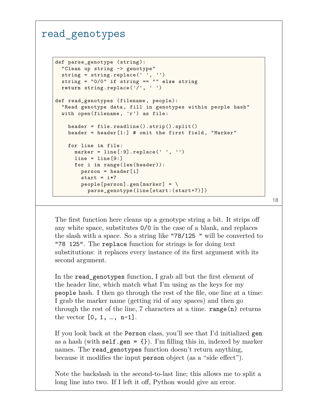#### read\_genotypes

```
def parse_genotype (string):
 "Clean up string -> genotype"
 string = string.replace(' ', '')
 string = "0/0" if string == "" else string
 return string.replace('/', ' ')
def read_genotypes (filename , people):
  "Read genotype data, fill in genotypes within people hash"
 with open(filename , 'r') as file:
   header = file.readline().strip().split()
   header = header[1:] # omit the first field, "Marker"
   for line in file:
     marker = line[:9].replace(' ', '')
      line = line[9:]for i in range(len(header)):
       person = header[i]
       start = i*7people[person].gen[marker] = \nparse_genotype(line[start:(start+7)])
```
The first function here cleans up a genotype string a bit. It strips off any white space, substitutes 0/0 in the case of a blank, and replaces the slash with a space. So a string like "78/125 " will be converted to "78 125". The replace function for strings is for doing text substitutions: it replaces every instance of its first argument with its second argument.

In the read\_genotypes function, I grab all but the first element of the header line, which match what I'm using as the keys for my people hash. I then go through the rest of the file, one line at a time: I grab the marker name (getting rid of any spaces) and then go through the rest of the line,  $7$  characters at a time. range $(n)$  returns the vector  $[0, 1, ..., n-1]$ .

If you look back at the Person class, you'll see that I'd initialized gen as a hash (with self.gen =  $\{\}$ ). I'm filling this in, indexed by marker names. The read\_genotypes function doesn't return anything, because it modifies the input person object (as a "side effect").

Note the backslash in the second-to-last line; this allows me to split a long line into two. If I left it off, Python would give an error.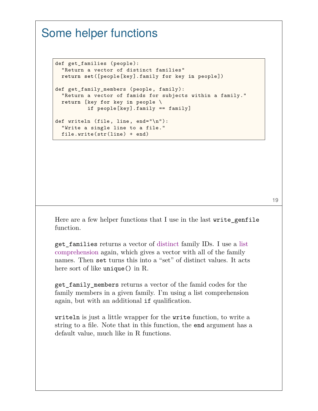## Some helper functions

```
def get_families (people):
 "Return a vector of distinct families"
 return set([people[key].family for key in people])
def get_family_members (people, family):
  "Return a vector of famids for subjects within a family."
 return [key for key in people \
          if people[key].family == family]
def writeln (file, line, end="\n"):
 "Write a single line to a file."
  file.write(str(line) + end)
```
Here are a few helper functions that I use in the last write\_genfile function.

get\_families returns a vector of distinct family IDs. I use a list comprehension again, which gives a vector with all of the family names. Then set turns this into a "set" of distinct values. It acts here sort of like unique() in R.

get\_family\_members returns a vector of the famid codes for the family members in a given family. I'm using a list comprehension again, but with an additional if qualification.

writeln is just a little wrapper for the write function, to write a string to a file. Note that in this function, the end argument has a default value, much like in R functions.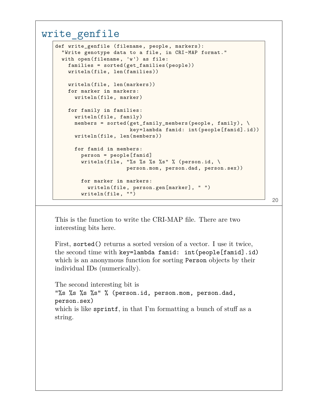#### write\_genfile

```
def write_genfile (filename , people, markers):
  "Write genotype data to a file, in CRI-MAP format."
 with open(filename, 'w') as file:
    families = sorted(get_families(people))
   writeln(file, len(families))
    writeln(file, len(markers))
   for marker in markers:
      writeln(file, marker)
   for family in families:
      writeln(file, family)
      members = sorted(get_family_members(people, family), \
                       key=lambda famid: int(people[famid].id))
      writeln(file, len(members))
      for famid in members:
        person = people[famid]
        writeln(file, "%s %s %s %s" % (person.id, \
                      person.mom, person.dad, person.sex))
        for marker in markers:
         writeln(file, person.gen[marker], " ")
        writeln(file, "")
```
This is the function to write the CRI-MAP file. There are two interesting bits here.

First, sorted() returns a sorted version of a vector. I use it twice, the second time with key=lambda famid: int(people[famid].id) which is an anonymous function for sorting Person objects by their individual IDs (numerically).

The second interesting bit is "%s %s %s %s" % (person.id, person.mom, person.dad, person.sex) which is like sprintf, in that I'm formatting a bunch of stuff as a string.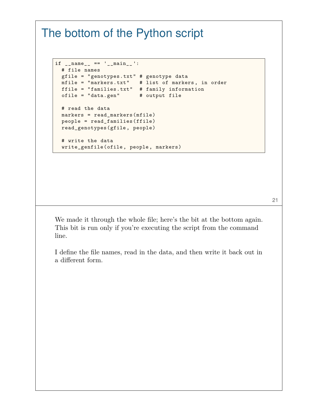### The bottom of the Python script

```
if __name__ == '__main__ ':
 # file names
 gfile = "genotypes.txt" # genotype data
 mfile = "markers.txt" # list of markers , in order
 ffile = "families.txt" # family information
 ofile = "data.gen" # output file
 # read the data
 markers = read markers(mfile)
 people = read_families(ffile)
 read_genotypes(gfile, people)
 # write the data
 write_genfile(ofile, people, markers)
```
We made it through the whole file; here's the bit at the bottom again. This bit is run only if you're executing the script from the command line.

I define the file names, read in the data, and then write it back out in a different form.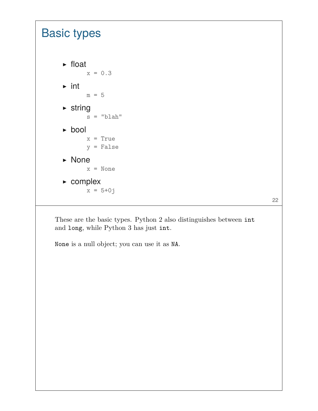### Basic types ▶ float  $x = 0.3$  $\triangleright$  int  $m = 5$  $\triangleright$  string  $s = "blab"$ ▶ bool  $x = True$ y = False ▶ None x = None ▶ complex  $x = 5 + 0j$

These are the basic types. Python 2 also distinguishes between int and long, while Python 3 has just int.

22

None is a null object; you can use it as NA.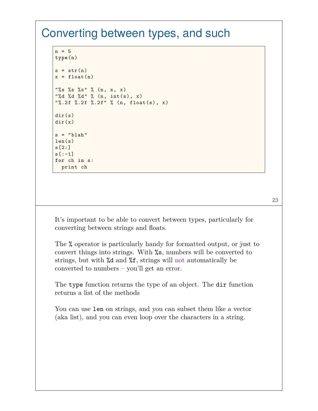### Converting between types, and such

```
n = 5type(n)
s = str(n)x = float(n)"%s %s %s" % (n, s, x)
"%d %d %d" % (n, int(s), x)
"%.2f %.2f %.2f" % (n, float(s), x)
dir(s)
dir(x)s = "blab"len(s)s[2:]
s[:-1]
for ch in s:
  print ch
```
It's important to be able to convert between types, particularly for converting between strings and floats.

The % operator is particularly handy for formatted output, or just to convert things into strings. With %s, numbers will be converted to strings, but with %d and %f, strings will not automatically be converted to numbers – you'll get an error.

The type function returns the type of an object. The dir function returns a list of the methods

You can use len on strings, and you can subset them like a vector (aka list), and you can even loop over the characters in a string.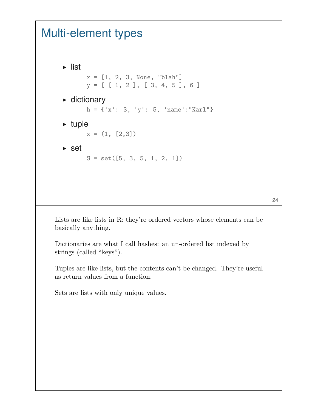## Multi-element types

```
▶ list
        x = [1, 2, 3, None, "blah"]y = [ [ 1, 2 ], [ 3, 4, 5 ], 6 ]
\triangleright dictionary
        h = \{ 'x': 3, 'y': 5, 'name': "Karl" \}\blacktriangleright tuple
        x = (1, [2,3])\triangleright set
        S = set([5, 3, 5, 1, 2, 1])
```
Lists are like lists in R: they're ordered vectors whose elements can be basically anything.

Dictionaries are what I call hashes: an un-ordered list indexed by strings (called "keys").

Tuples are like lists, but the contents can't be changed. They're useful as return values from a function.

Sets are lists with only unique values.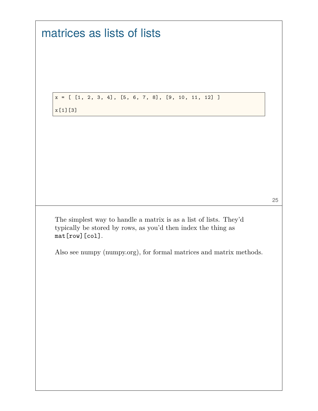matrices as lists of lists

 $x = [ [1, 2, 3, 4], [5, 6, 7, 8], [9, 10, 11, 12] ]$ 

x[1][3]

25

The simplest way to handle a matrix is as a list of lists. They'd typically be stored by rows, as you'd then index the thing as mat[row][col].

Also see numpy (numpy.org), for formal matrices and matrix methods.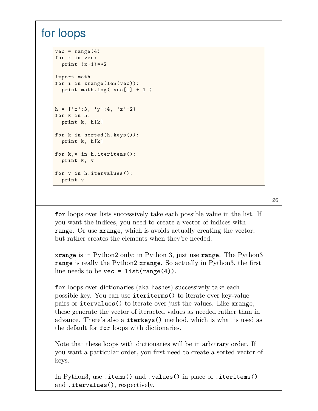### for loops

```
vec = range(4)for x in vec:
  print (x+1)**2import math
for i in xrange(len(vec)):
  print math.log( vec[i] + 1 )
h = \{x':3, y':4, 'z':2\}for k in h:
 print k, h[k]
for k in sorted(h.keys()):
 print k, h[k]
for k,v in h.iteritems():
  print k, v
for v in h.itervalues():
  print v
```
26

for loops over lists successively take each possible value in the list. If you want the indices, you need to create a vector of indices with range. Or use xrange, which is avoids actually creating the vector, but rather creates the elements when they're needed.

xrange is in Python2 only; in Python 3, just use range. The Python3 range is really the Python2 xrange. So actually in Python3, the first line needs to be vec =  $list(range(4))$ .

for loops over dictionaries (aka hashes) successively take each possible key. You can use iteriterms() to iterate over key-value pairs or itervalues() to iterate over just the values. Like xrange, these generate the vector of iteracted values as needed rather than in advance. There's also a iterkeys() method, which is what is used as the default for for loops with dictionaries.

Note that these loops with dictionaries will be in arbitrary order. If you want a particular order, you first need to create a sorted vector of keys.

In Python3, use .items() and .values() in place of .iteritems() and .itervalues(), respectively.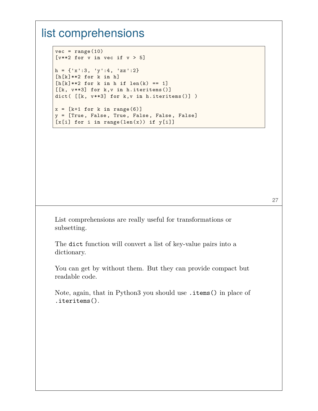### list comprehensions

```
vec = range(10)[v**2 for v in vec if v > 5]
h = {'x':3, 'y':4, 'zz':2}
[h[k]**2 for k in h]
[h[k]**2 for k in h if len(k) == 1][[k, v**3] for k,v in h.iteritems()]
dict( [[k, v**3] for k,v in h.iteritems()] )
x = [k+1 \text{ for } k \text{ in } range(6)]y = [True, False, True, False, False, False]
```
[x[i] **for** i **in** range(len(x)) **if** y[i]]

List comprehensions are really useful for transformations or subsetting.

The dict function will convert a list of key-value pairs into a dictionary.

You can get by without them. But they can provide compact but readable code.

Note, again, that in Python3 you should use .items() in place of .iteritems().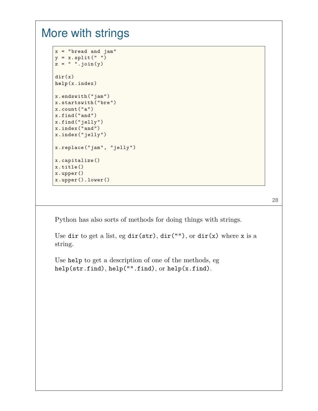### More with strings

```
x = "bread and jam"y = x.split("")z = " " .join(y)dir(x)
help(x.index)
x.endswith("jam")
x.startswith("bre")
x.count("a")
x.find("and")
x.find("jelly")
x.index("and")
x.index("jelly")
x.replace("jam", "jelly")
x.capitalize()
x.title()
x.upper()
x.upper().lower()
```
28

Python has also sorts of methods for doing things with strings.

Use dir to get a list, eg dir(str),  $dir("")$ , or  $dir(x)$  where x is a string.

Use help to get a description of one of the methods, eg help(str.find), help("".find), or help(x.find).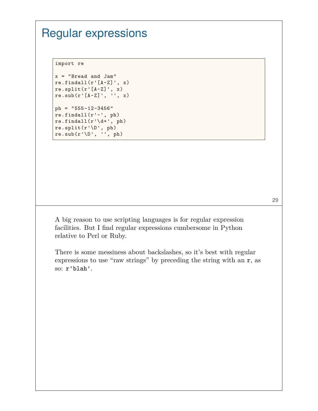# Regular expressions

import re

```
x = "Bread and Jam"re.findall(r'[A-Z]', x)re.split(r'[A-Z]', x)re.sub(r'[A-Z]', '', x)
ph = "555-12-3456"
re.findall(r'-', ph)re.findall(r'\ddot{d}+', ph)re.split(r'\D', ph)
```
 $re.sub(r'\D', '', ph)$ 

A big reason to use scripting languages is for regular expression facilities. But I find regular expressions cumbersome in Python relative to Perl or Ruby.

There is some messiness about backslashes, so it's best with regular expressions to use "raw strings" by preceding the string with an r, as so: r'blah'.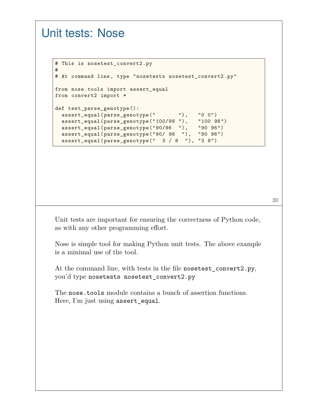### Unit tests: Nose

```
# This is nosetest_convert2.py
#
# At command line, type "nosetests nosetest_convert2.py"
from nose.tools import assert_equal
from convert2 import *
def test_parse_genotype():
 assert_equal(parse_genotype(" "), "0 0")
 assert_equal(parse_genotype("100/98 "), "100 98")
 assert_equal(parse_genotype("90/96 "), "90 96")
 assert_equal(parse_genotype("90/ 96 "), "90 96")
 assert_equal(parse_genotype(" 3 / 8 "), "3 8")
```
Unit tests are important for ensuring the correctness of Python code, as with any other programming effort.

Nose is simple tool for making Python unit tests. The above example is a minimal use of the tool.

At the command line, with tests in the file nosetest\_convert2.py, you'd type nosetests nosetest\_convert2.py

The nose.tools module contains a bunch of assertion functions. Here, I'm just using assert\_equal.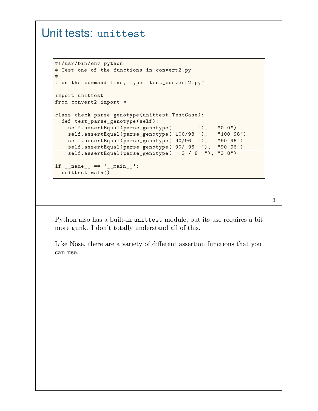### Unit tests: unittest

```
#!/usr/bin/env python
# Test one of the functions in convert2.py
#
# on the command line, type "test_convert2.py"
import unittest
from convert2 import *
class check_parse_genotype(unittest.TestCase):
 def test_parse_genotype(self):
   self.assertEqual(parse_genotype(" "), "0 0")
    self.assertEqual(parse_genotype("100/98 "), "100 98")
    self.assertEqual(parse_genotype("90/96 "), "90 96")
   self.assertEqual(parse_genotype("90/ 96 "), "90 96")
   self.assertEqual(parse_genotype(" 3 / 8 "), "3 8")
if __name__ == '__main__ ':
 unittest.main()
```
31

Python also has a built-in unittest module, but its use requires a bit more gunk. I don't totally understand all of this.

Like Nose, there are a variety of different assertion functions that you can use.